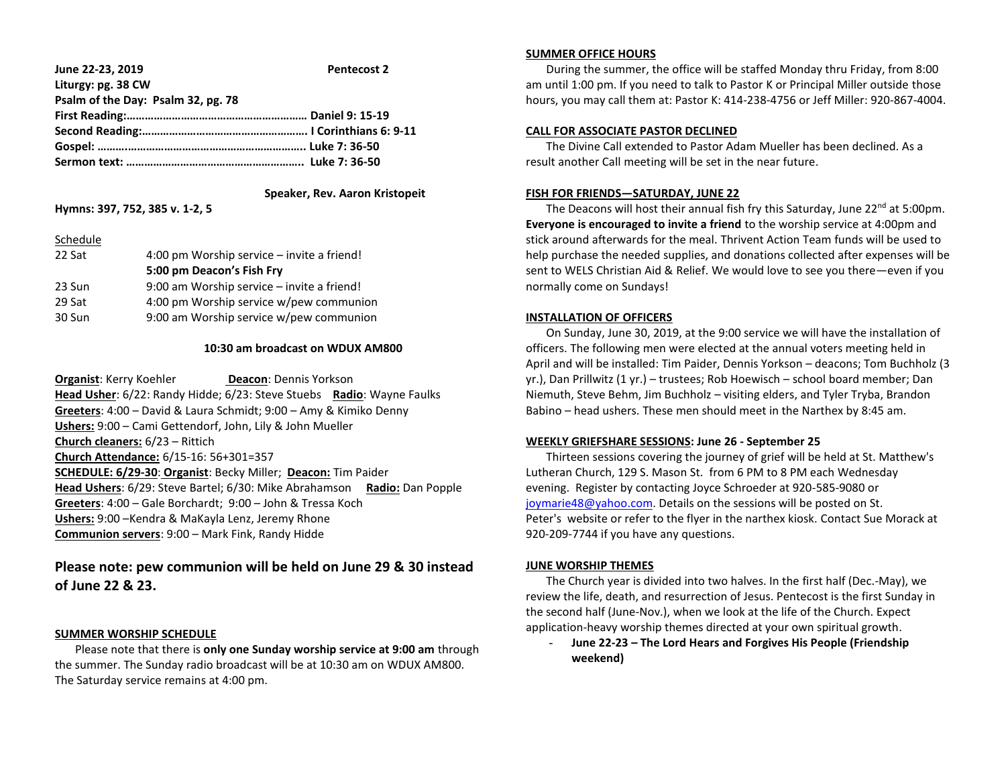| June 22-23, 2019                   | <b>Pentecost 2</b> |
|------------------------------------|--------------------|
| Liturgy: pg. 38 CW                 |                    |
| Psalm of the Day: Psalm 32, pg. 78 |                    |
|                                    |                    |
|                                    |                    |
|                                    |                    |
|                                    |                    |

## **Speaker, Rev. Aaron Kristopeit**

#### **Hymns: 397, 752, 385 v. 1-2, 5**

#### Schedule

| 22 Sat | 4:00 pm Worship service - invite a friend! |
|--------|--------------------------------------------|
|        | 5:00 pm Deacon's Fish Fry                  |
| 23 Sun | 9:00 am Worship service - invite a friend! |
| 29 Sat | 4:00 pm Worship service w/pew communion    |
| 30 Sun | 9:00 am Worship service w/pew communion    |
|        |                                            |

## **10:30 am broadcast on WDUX AM800**

**Organist: Kerry Koehler <b>Deacon**: Dennis Yorkson **Head Usher**: 6/22: Randy Hidde; 6/23: Steve Stuebs **Radio**: Wayne Faulks **Greeters**: 4:00 – David & Laura Schmidt; 9:00 – Amy & Kimiko Denny **Ushers:** 9:00 – Cami Gettendorf, John, Lily & John Mueller **Church cleaners:** 6/23 – Rittich **Church Attendance:** 6/15-16: 56+301=357 **SCHEDULE: 6/29-30**: **Organist**: Becky Miller; **Deacon:** Tim Paider **Head Ushers**: 6/29: Steve Bartel; 6/30: Mike Abrahamson **Radio:** Dan Popple **Greeters**: 4:00 – Gale Borchardt; 9:00 – John & Tressa Koch **Ushers:** 9:00 –Kendra & MaKayla Lenz, Jeremy Rhone **Communion servers**: 9:00 – Mark Fink, Randy Hidde

# **Please note: pew communion will be held on June 29 & 30 instead of June 22 & 23.**

#### **SUMMER WORSHIP SCHEDULE**

 Please note that there is **only one Sunday worship service at 9:00 am** through the summer. The Sunday radio broadcast will be at 10:30 am on WDUX AM800. The Saturday service remains at 4:00 pm.

## **SUMMER OFFICE HOURS**

 During the summer, the office will be staffed Monday thru Friday, from 8:00 am until 1:00 pm. If you need to talk to Pastor K or Principal Miller outside those hours, you may call them at: Pastor K: 414-238-4756 or Jeff Miller: 920-867-4004.

## **CALL FOR ASSOCIATE PASTOR DECLINED**

 The Divine Call extended to Pastor Adam Mueller has been declined. As a result another Call meeting will be set in the near future.

## **FISH FOR FRIENDS—SATURDAY, JUNE 22**

The Deacons will host their annual fish fry this Saturday, June  $22^{nd}$  at 5:00pm. **Everyone is encouraged to invite a friend** to the worship service at 4:00pm and stick around afterwards for the meal. Thrivent Action Team funds will be used to help purchase the needed supplies, and donations collected after expenses will be sent to WELS Christian Aid & Relief. We would love to see you there—even if you normally come on Sundays!

## **INSTALLATION OF OFFICERS**

 On Sunday, June 30, 2019, at the 9:00 service we will have the installation of officers. The following men were elected at the annual voters meeting held in April and will be installed: Tim Paider, Dennis Yorkson – deacons; Tom Buchholz (3 yr.), Dan Prillwitz (1 yr.) – trustees; Rob Hoewisch – school board member; Dan Niemuth, Steve Behm, Jim Buchholz – visiting elders, and Tyler Tryba, Brandon Babino – head ushers. These men should meet in the Narthex by 8:45 am.

#### **WEEKLY GRIEFSHARE SESSIONS: June 26 - September 25**

 Thirteen sessions covering the journey of grief will be held at St. Matthew's Lutheran Church, 129 S. Mason St. from 6 PM to 8 PM each Wednesday evening. Register by contacting Joyce Schroeder at 920-585-9080 or [joymarie48@yahoo.com.](mailto:joymarie48@yahoo.com) Details on the sessions will be posted on St. Peter's website or refer to the flyer in the narthex kiosk. Contact Sue Morack at 920-209-7744 if you have any questions.

#### **JUNE WORSHIP THEMES**

 The Church year is divided into two halves. In the first half (Dec.-May), we review the life, death, and resurrection of Jesus. Pentecost is the first Sunday in the second half (June-Nov.), when we look at the life of the Church. Expect application-heavy worship themes directed at your own spiritual growth.

- **June 22-23 – The Lord Hears and Forgives His People (Friendship weekend)**